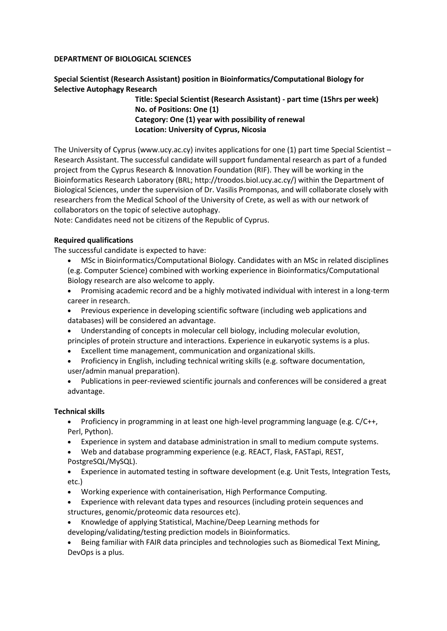### **DEPARTMENT OF BIOLOGICAL SCIENCES**

**Special Scientist (Research Assistant) position in Bioinformatics/Computational Biology for Selective Autophagy Research**

> **Title: Special Scientist (Research Assistant) - part time (15hrs per week) No. of Positions: One (1) Category: One (1) year with possibility of renewal Location: University of Cyprus, Nicosia**

The University of Cyprus (www.ucy.ac.cy) invites applications for one (1) part time Special Scientist – Research Assistant. The successful candidate will support fundamental research as part of a funded project from the Cyprus Research & Innovation Foundation (RIF). They will be working in the Bioinformatics Research Laboratory (BRL; http://troodos.biol.ucy.ac.cy/) within the Department of Biological Sciences, under the supervision of Dr. Vasilis Promponas, and will collaborate closely with researchers from the Medical School of the University of Crete, as well as with our network of collaborators on the topic of selective autophagy.

Note: Candidates need not be citizens of the Republic of Cyprus.

# **Required qualifications**

The successful candidate is expected to have:

- MSc in Bioinformatics/Computational Biology. Candidates with an MSc in related disciplines (e.g. Computer Science) combined with working experience in Bioinformatics/Computational Biology research are also welcome to apply.
- Promising academic record and be a highly motivated individual with interest in a long-term career in research.
- Previous experience in developing scientific software (including web applications and databases) will be considered an advantage.
- Understanding of concepts in molecular cell biology, including molecular evolution, principles of protein structure and interactions. Experience in eukaryotic systems is a plus.
- Excellent time management, communication and organizational skills.
- Proficiency in English, including technical writing skills (e.g. software documentation, user/admin manual preparation).
- Publications in peer-reviewed scientific journals and conferences will be considered a great advantage.

### **Technical skills**

- Proficiency in programming in at least one high-level programming language (e.g. C/C++, Perl, Python).
- Experience in system and database administration in small to medium compute systems.
- Web and database programming experience (e.g. REACT, Flask, FASTapi, REST, PostgreSQL/MySQL).
- Experience in automated testing in software development (e.g. Unit Tests, Integration Tests, etc.)
- Working experience with containerisation, High Performance Computing.
- Experience with relevant data types and resources (including protein sequences and structures, genomic/proteomic data resources etc).
- Knowledge of applying Statistical, Machine/Deep Learning methods for developing/validating/testing prediction models in Bioinformatics.
- Being familiar with FAIR data principles and technologies such as Biomedical Text Mining, DevOps is a plus.